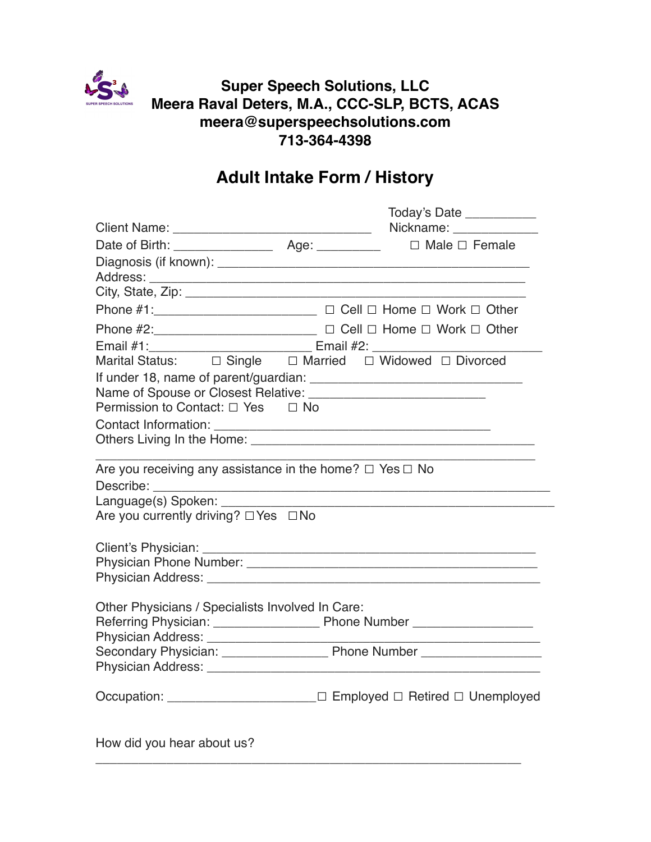

## **Super Speech Solutions, LLC Meera Raval Deters, M.A., CCC-SLP, BCTS, ACAS meera@superspeechsolutions.com 713-364-4398**

## **Adult Intake Form / History**

|                                                                                  | Today's Date ____________                                            |
|----------------------------------------------------------------------------------|----------------------------------------------------------------------|
|                                                                                  | Nickname: Nickname:                                                  |
|                                                                                  | $\Box$ Male $\Box$ Female                                            |
|                                                                                  |                                                                      |
|                                                                                  |                                                                      |
|                                                                                  |                                                                      |
| Phone #1: ________________________ □ Cell □ Home □ Work □ Other                  |                                                                      |
| Phone #2:___________________________ □ Cell □ Home □ Work □ Other                |                                                                      |
| Email #1: _________________________________ Email #2: __________________________ |                                                                      |
| Marital Status: $\Box$ Single $\Box$ Married $\Box$ Widowed $\Box$ Divorced      |                                                                      |
|                                                                                  |                                                                      |
|                                                                                  |                                                                      |
| Permission to Contact: □ Yes □ No                                                |                                                                      |
|                                                                                  |                                                                      |
|                                                                                  |                                                                      |
| Are you receiving any assistance in the home? $\Box$ Yes $\Box$ No               |                                                                      |
|                                                                                  |                                                                      |
|                                                                                  |                                                                      |
| Are you currently driving? $\Box$ Yes $\Box$ No                                  |                                                                      |
|                                                                                  |                                                                      |
|                                                                                  |                                                                      |
|                                                                                  |                                                                      |
|                                                                                  |                                                                      |
|                                                                                  |                                                                      |
| Other Physicians / Specialists Involved In Care:                                 |                                                                      |
|                                                                                  |                                                                      |
|                                                                                  | <u> 1989 - Johann John Stone, market fransk konge</u>                |
|                                                                                  |                                                                      |
|                                                                                  |                                                                      |
|                                                                                  | Occupation: ______________________ □ Employed □ Retired □ Unemployed |
|                                                                                  |                                                                      |
|                                                                                  |                                                                      |
|                                                                                  |                                                                      |

\_\_\_\_\_\_\_\_\_\_\_\_\_\_\_\_\_\_\_\_\_\_\_\_\_\_\_\_\_\_\_\_\_\_\_\_\_\_\_\_\_\_\_\_\_\_\_\_\_\_\_\_\_\_\_\_\_\_\_\_

How did you hear about us?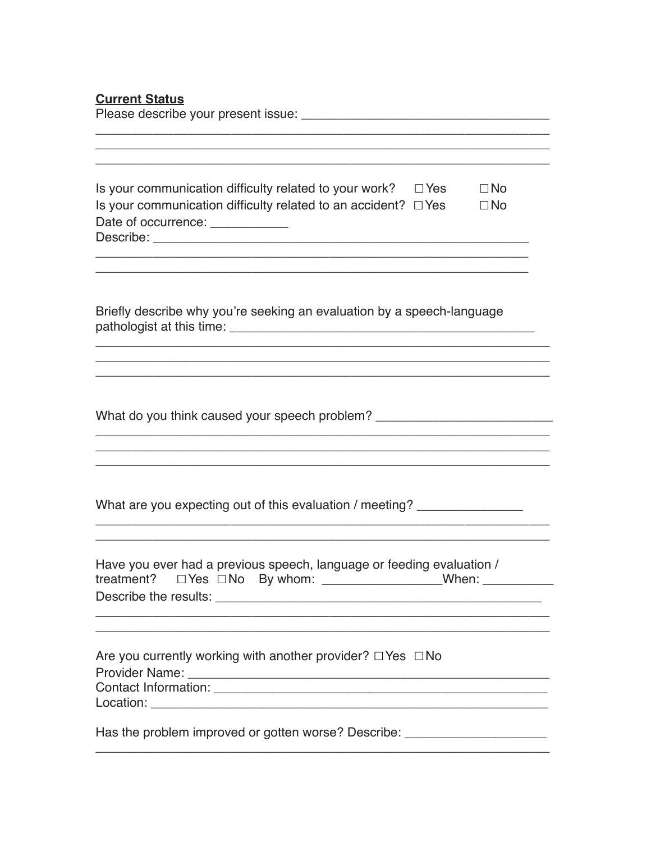## **Current Status**

Please describe your present issue: Network and the state of the state of the state of the state of the state of the state of the state of the state of the state of the state of the state of the state of the state of the s

| Is your communication difficulty related to your work? $\square$ Yes | $\Box$ No |
|----------------------------------------------------------------------|-----------|
| Is your communication difficulty related to an accident? $\Box$ Yes  | $\Box$ No |
| Date of occurrence:                                                  |           |
| Describe:                                                            |           |

<u> 1989 - Johann John Stone, menydd y gweledd y cynnwys y gan y gan y gan y gan y gan y gan y gan y gan y gan y</u>

Briefly describe why you're seeking an evaluation by a speech-language 

What do you think caused your speech problem? \_\_\_\_\_\_\_\_\_\_\_\_\_\_\_\_\_\_\_\_\_\_\_\_\_\_\_\_\_\_\_\_\_\_

What are you expecting out of this evaluation / meeting? \_\_\_\_\_\_\_\_\_\_\_\_\_\_\_\_

| Have you ever had a previous speech, language or feeding evaluation / |                                          |  |       |
|-----------------------------------------------------------------------|------------------------------------------|--|-------|
|                                                                       | treatment? $\Box$ Yes $\Box$ No By whom: |  | When: |
| Describe the results:                                                 |                                          |  |       |

<u> 1989 - Jan James James James James James James James James James James James James James James James James J</u>

| Are you currently working with another provider? $\Box$ Yes $\Box$ No |  |
|-----------------------------------------------------------------------|--|
| <b>Provider Name:</b>                                                 |  |
| Contact Information:                                                  |  |
| Location:                                                             |  |
|                                                                       |  |

Has the problem improved or gotten worse? Describe: \_\_\_\_\_\_\_\_\_\_\_\_\_\_\_\_\_\_\_\_\_\_\_\_\_\_\_\_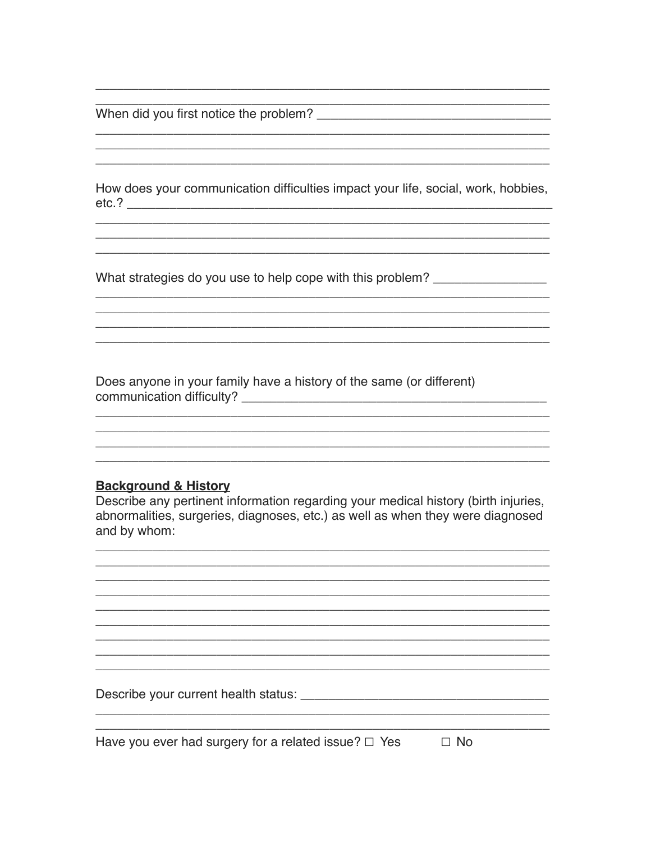When did you first notice the problem?

How does your communication difficulties impact your life, social, work, hobbies, 

<u> 1980 - Johann Barbara, margaret eta idazlearia (h. 1980).</u>

What strategies do you use to help cope with this problem? \_\_\_\_\_\_\_\_\_\_\_\_\_\_\_\_\_\_\_\_\_

Does anyone in your family have a history of the same (or different) 

## **Background & History**

Describe any pertinent information regarding your medical history (birth injuries, abnormalities, surgeries, diagnoses, etc.) as well as when they were diagnosed and by whom:

<u> 1989 - Johann Barn, amerikan bernama di sebagai bernama dan bernama di sebagai bernama di sebagai bernama di</u>

<u> 2000 - Jan James James James James James James James James James James James James James James James James J</u>

Have you ever had surgery for a related issue?  $\Box$  Yes  $\Box$  No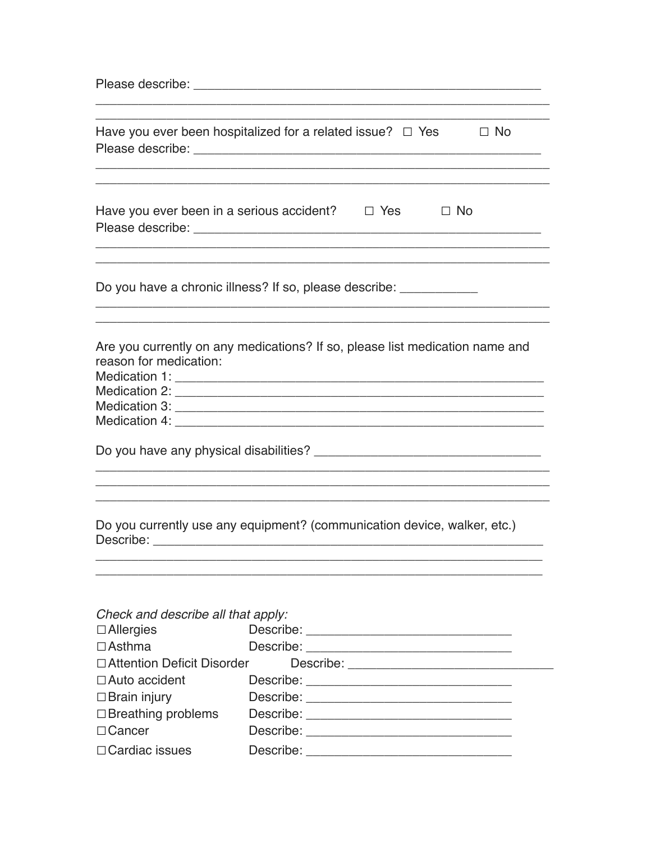|                                                                         | Have you ever been hospitalized for a related issue? $\Box$ Yes $\Box$ No    |
|-------------------------------------------------------------------------|------------------------------------------------------------------------------|
|                                                                         | Have you ever been in a serious accident? $\Box$ Yes $\Box$ No               |
|                                                                         | Do you have a chronic illness? If so, please describe: ____________          |
| reason for medication:                                                  | Are you currently on any medications? If so, please list medication name and |
|                                                                         |                                                                              |
|                                                                         | Do you currently use any equipment? (communication device, walker, etc.)     |
| Check and describe all that apply:<br>$\Box$ Allergies<br>$\Box$ Asthma | Describe: <u>______________________</u>                                      |
| □ Attention Deficit Disorder                                            |                                                                              |
| $\Box$ Auto accident                                                    |                                                                              |
| $\Box$ Brain injury                                                     |                                                                              |
| $\Box$ Breathing problems<br>$\Box$ Cancer                              |                                                                              |
|                                                                         |                                                                              |
| □ Cardiac issues                                                        | Describe: <u>__________________________________</u>                          |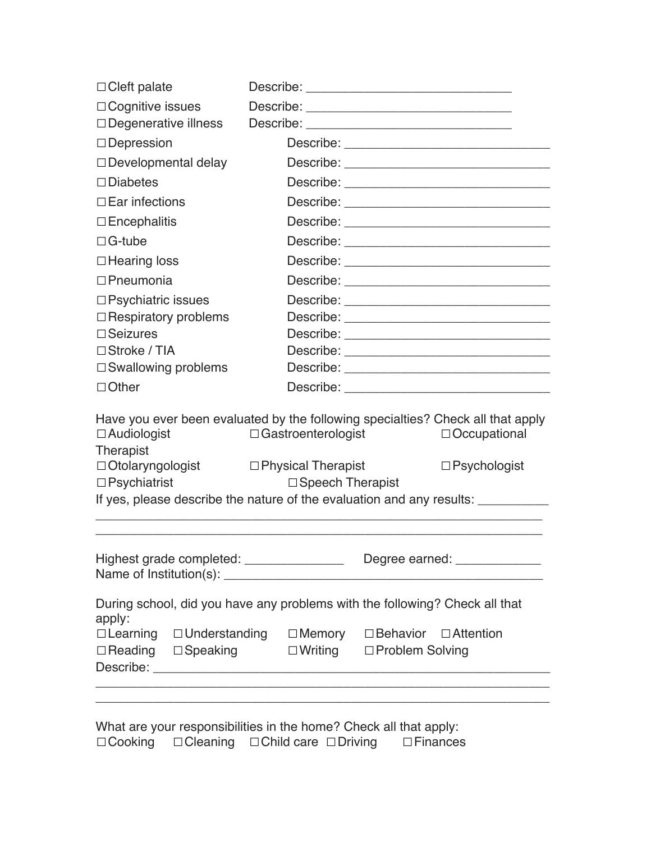| $\Box$ Cleft palate                                                                                                                                       |                           |                                                                                  |  |  |
|-----------------------------------------------------------------------------------------------------------------------------------------------------------|---------------------------|----------------------------------------------------------------------------------|--|--|
| $\Box$ Cognitive issues                                                                                                                                   |                           |                                                                                  |  |  |
| $\Box$ Degenerative illness                                                                                                                               |                           |                                                                                  |  |  |
| $\Box$ Depression                                                                                                                                         |                           |                                                                                  |  |  |
| $\Box$ Developmental delay                                                                                                                                |                           |                                                                                  |  |  |
| $\square$ Diabetes                                                                                                                                        |                           |                                                                                  |  |  |
| $\Box$ Ear infections                                                                                                                                     |                           |                                                                                  |  |  |
| $\Box$ Encephalitis                                                                                                                                       |                           |                                                                                  |  |  |
| $\Box$ G-tube                                                                                                                                             |                           |                                                                                  |  |  |
| $\Box$ Hearing loss                                                                                                                                       |                           |                                                                                  |  |  |
| $\Box$ Pneumonia                                                                                                                                          |                           | Describe: ___________________________________                                    |  |  |
| $\square$ Psychiatric issues                                                                                                                              |                           |                                                                                  |  |  |
| $\Box$ Respiratory problems                                                                                                                               |                           |                                                                                  |  |  |
| $\square$ Seizures                                                                                                                                        |                           |                                                                                  |  |  |
| $\Box$ Stroke / TIA                                                                                                                                       |                           |                                                                                  |  |  |
| □ Swallowing problems                                                                                                                                     |                           |                                                                                  |  |  |
| $\Box$ Other                                                                                                                                              |                           |                                                                                  |  |  |
| Have you ever been evaluated by the following specialties? Check all that apply<br>$\Box$ Audiologist<br>$\Box$ Gastroenterologist<br>$\Box$ Occupational |                           |                                                                                  |  |  |
| Therapist                                                                                                                                                 |                           |                                                                                  |  |  |
| □ Otolaryngologist □ Physical Therapist<br>$\Box$ Psychiatrist                                                                                            | $\Box$ Speech Therapist   | $\square$ Psychologist                                                           |  |  |
|                                                                                                                                                           |                           | If yes, please describe the nature of the evaluation and any results: __________ |  |  |
|                                                                                                                                                           |                           |                                                                                  |  |  |
|                                                                                                                                                           |                           |                                                                                  |  |  |
|                                                                                                                                                           |                           |                                                                                  |  |  |
| apply:                                                                                                                                                    |                           | During school, did you have any problems with the following? Check all that      |  |  |
| □Learning □Understanding □Memory □Behavior □Attention<br>$\Box$ Reading $\Box$ Speaking                                                                   | □Writing □Problem Solving |                                                                                  |  |  |
|                                                                                                                                                           |                           |                                                                                  |  |  |

What are your responsibilities in the home? Check all that apply: ☐Cooking ☐Cleaning ☐Child care ☐Driving ☐Finances